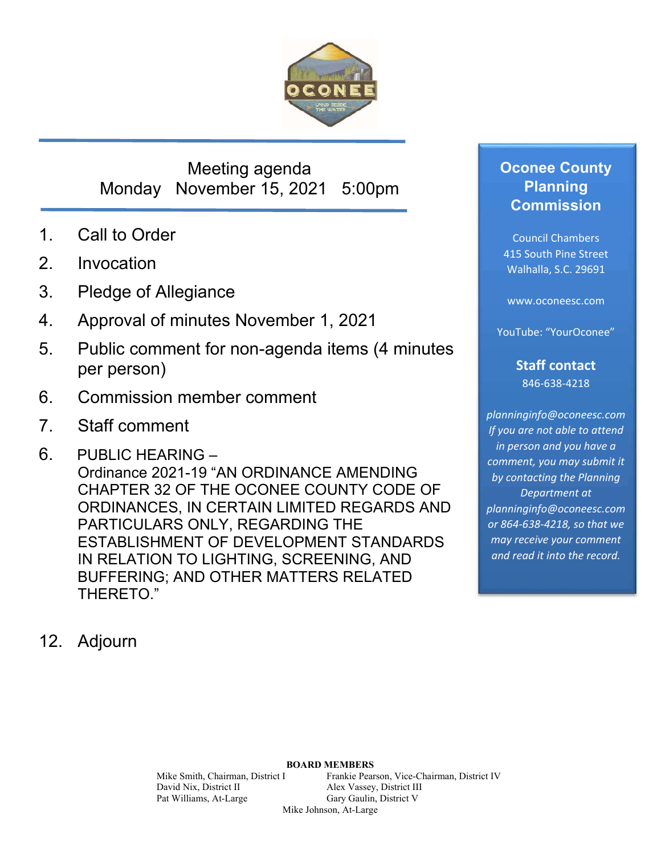

## Meeting agenda Monday November 15, 2021 5:00pm

- 1. Call to Order
- 2. Invocation
- 3. Pledge of Allegiance
- 4. Approval of minutes November 1, 2021
- 5. Public comment for non-agenda items (4 minutes per person)
- 6. Commission member comment
- 7. Staff comment
- 6. PUBLIC HEARING Ordinance 2021-19 "AN ORDINANCE AMENDING CHAPTER 32 OF THE OCONEE COUNTY CODE OF ORDINANCES, IN CERTAIN LIMITED REGARDS AND PARTICULARS ONLY, REGARDING THE ESTABLISHMENT OF DEVELOPMENT STANDARDS IN RELATION TO LIGHTING, SCREENING, AND BUFFERING; AND OTHER MATTERS RELATED THERETO."
- 12. Adjourn

## **Oconee County Planning Commission**

Council Chambers 415 South Pine Street Walhalla, S.C. 29691

www.oconeesc.com

YouTube: "YourOconee"

**Staff contact**  846‐638‐4218

*planninginfo@oconeesc.com If you are not able to attend in person and you have a comment, you may submit it by contacting the Planning Department at planninginfo@oconeesc.com or 864‐638‐4218, so that we may receive your comment and read it into the record.* 

# **BOARD MEMBERS**

Mike Smith, Chairman, District I Frankie Pearson, Vice-Chairman, District IV David Nix, District II Alex Vassey, District III Pat Williams, At-Large Gary Gaulin, District V Mike Johnson, At-Large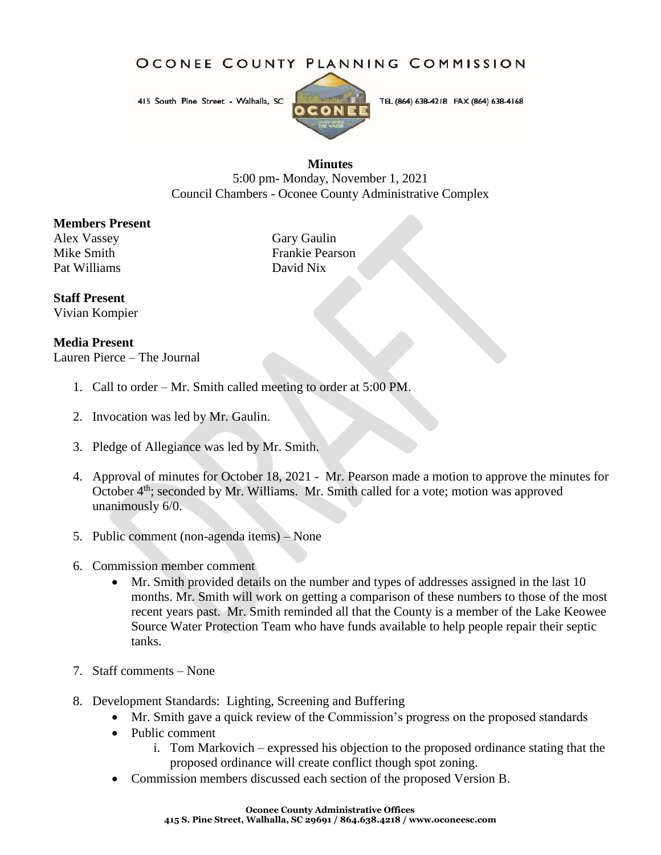### OCONEE COUNTY PLANNING COMMISSION

415 South Pine Street - Walhalla, SC



TEL (864) 638-4218 FAX (864) 638-4168

### **Minutes**

5:00 pm- Monday, November 1, 2021 Council Chambers - Oconee County Administrative Complex

### **Members Present**

Alex Vassey Gary Gaulin Pat Williams

Mike Smith<br>
Pat Williams<br>
Pat Williams<br>
Pavid Nix

### **Staff Present**

Vivian Kompier

### **Media Present**

Lauren Pierce – The Journal

- 1. Call to order Mr. Smith called meeting to order at 5:00 PM.
- 2. Invocation was led by Mr. Gaulin.
- 3. Pledge of Allegiance was led by Mr. Smith.
- 4. Approval of minutes for October 18, 2021 Mr. Pearson made a motion to approve the minutes for October  $4<sup>th</sup>$ ; seconded by Mr. Williams. Mr. Smith called for a vote; motion was approved unanimously 6/0.
- 5. Public comment (non-agenda items) None
- 6. Commission member comment
	- Mr. Smith provided details on the number and types of addresses assigned in the last 10 months. Mr. Smith will work on getting a comparison of these numbers to those of the most recent years past. Mr. Smith reminded all that the County is a member of the Lake Keowee Source Water Protection Team who have funds available to help people repair their septic tanks.
- 7. Staff comments None
- 8. Development Standards: Lighting, Screening and Buffering
	- Mr. Smith gave a quick review of the Commission's progress on the proposed standards
	- Public comment
		- i. Tom Markovich expressed his objection to the proposed ordinance stating that the proposed ordinance will create conflict though spot zoning.
	- Commission members discussed each section of the proposed Version B.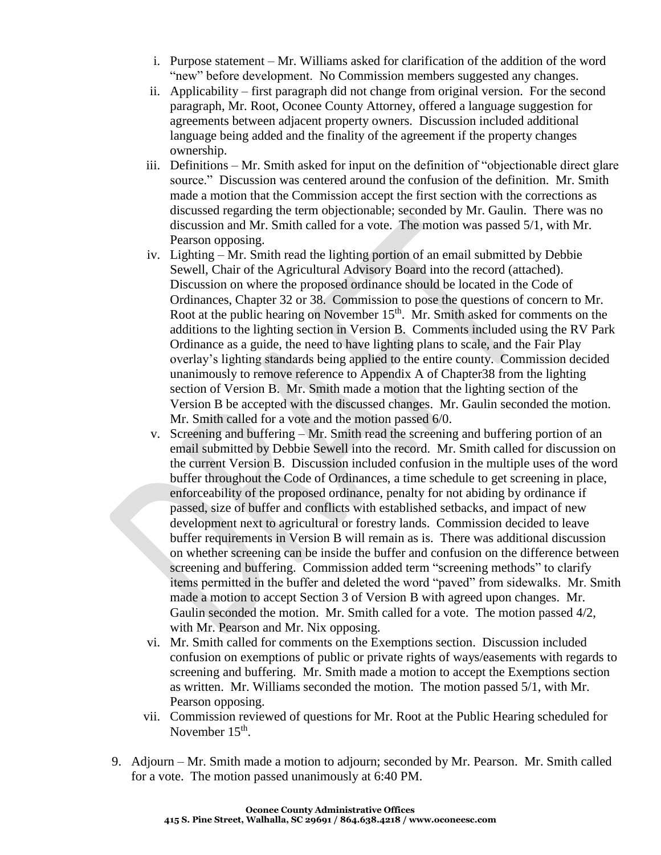- i. Purpose statement Mr. Williams asked for clarification of the addition of the word "new" before development. No Commission members suggested any changes.
- ii. Applicability first paragraph did not change from original version. For the second paragraph, Mr. Root, Oconee County Attorney, offered a language suggestion for agreements between adjacent property owners. Discussion included additional language being added and the finality of the agreement if the property changes ownership.
- iii. Definitions Mr. Smith asked for input on the definition of "objectionable direct glare source." Discussion was centered around the confusion of the definition. Mr. Smith made a motion that the Commission accept the first section with the corrections as discussed regarding the term objectionable; seconded by Mr. Gaulin. There was no discussion and Mr. Smith called for a vote. The motion was passed 5/1, with Mr. Pearson opposing.
- iv. Lighting Mr. Smith read the lighting portion of an email submitted by Debbie Sewell, Chair of the Agricultural Advisory Board into the record (attached). Discussion on where the proposed ordinance should be located in the Code of Ordinances, Chapter 32 or 38. Commission to pose the questions of concern to Mr. Root at the public hearing on November 15<sup>th</sup>. Mr. Smith asked for comments on the additions to the lighting section in Version B. Comments included using the RV Park Ordinance as a guide, the need to have lighting plans to scale, and the Fair Play overlay's lighting standards being applied to the entire county. Commission decided unanimously to remove reference to Appendix A of Chapter38 from the lighting section of Version B. Mr. Smith made a motion that the lighting section of the Version B be accepted with the discussed changes. Mr. Gaulin seconded the motion. Mr. Smith called for a vote and the motion passed 6/0.
- v. Screening and buffering Mr. Smith read the screening and buffering portion of an email submitted by Debbie Sewell into the record. Mr. Smith called for discussion on the current Version B. Discussion included confusion in the multiple uses of the word buffer throughout the Code of Ordinances, a time schedule to get screening in place, enforceability of the proposed ordinance, penalty for not abiding by ordinance if passed, size of buffer and conflicts with established setbacks, and impact of new development next to agricultural or forestry lands. Commission decided to leave buffer requirements in Version B will remain as is. There was additional discussion on whether screening can be inside the buffer and confusion on the difference between screening and buffering. Commission added term "screening methods" to clarify items permitted in the buffer and deleted the word "paved" from sidewalks. Mr. Smith made a motion to accept Section 3 of Version B with agreed upon changes. Mr. Gaulin seconded the motion. Mr. Smith called for a vote. The motion passed 4/2, with Mr. Pearson and Mr. Nix opposing.
- vi. Mr. Smith called for comments on the Exemptions section. Discussion included confusion on exemptions of public or private rights of ways/easements with regards to screening and buffering. Mr. Smith made a motion to accept the Exemptions section as written. Mr. Williams seconded the motion. The motion passed 5/1, with Mr. Pearson opposing.
- vii. Commission reviewed of questions for Mr. Root at the Public Hearing scheduled for November  $15<sup>th</sup>$ .
- 9. Adjourn Mr. Smith made a motion to adjourn; seconded by Mr. Pearson. Mr. Smith called for a vote. The motion passed unanimously at 6:40 PM.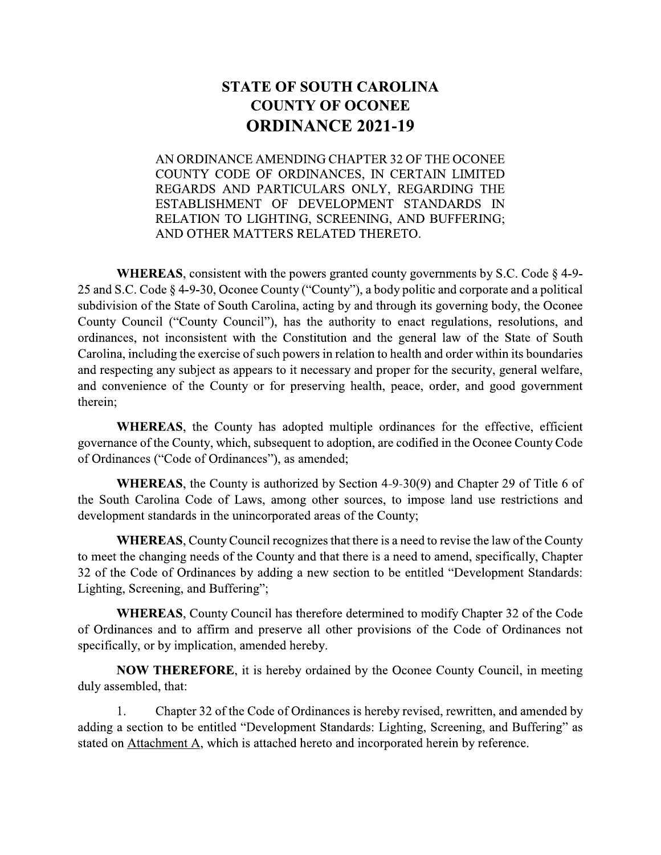## STATE OF SOUTH CAROLINA **COUNTY OF OCONEE** ORDINANCE 2021-19

AN ORDINANCE AMENDING CHAPTER 32 OF THE OCONEE **STATE OF SOUTH CAROLINA<br>
COUNTY OF OCONEE<br>
ORDINANCE 2021-19<br>
AN ORDINANCE AMENDING CHAPTER 32 OF THE OCONEE<br>
COUNTY CODE OF ORDINANCES, IN CERTAIN LIMITED<br>
REGARDS AND PARTICULARS ONLY, REGARDING THE<br>
ESTABLISHMENT OF DE STATE OF SOUTH CAROLINA<br>
COUNTY OF OCONEE<br>
ORDINANCE 2021-19<br>
AN ORDINANCE AMENDING CHAPTER 32 OF THE OCONEE<br>
COUNTY CODE OF ORDINANCES, IN CERTAIN LIMITED<br>
REGARDS AND PARTICULARS ONLY, REGARDING THE<br>
ESTABLISHMENT OF DE** ESTABLISHMENT OF DEVELOPMENT STANDARDS IN RELATION TO LIGHTING, SCREENING, AND BUFFERING; AND OTHER MATTERS RELATED THERETO.

**WHEREAS,** consistent with the powers granted county governments by S.C. Code  $\S$  4-9-25 and S.C. Code § 4-9-30, Oconee County ("County"), a body politic and corporate and a political subdivision of the State of South Carolina, acting by and through its governing body, the Oconee County Council ("County Council"), has the authority to enact regulations, resolutions, and ordinances, not inconsistent with the Constitution and the general law of the State of South Carolina, including the exercise of such powers in relation to health and order within its boundaries and respecting any subject as appears to it necessary and proper for the security, general welfare, and convenience of the County or for preserving health, peace, order, and good government therein:

**WHEREAS**, the County has adopted multiple ordinances for the effective, efficient governance of the County, which, subsequent to adoption, are codified in the Oconee County Code of Ordinances ("Code of Ordinances"), as amended;

**WHEREAS**, the County is authorized by Section 4-9-30(9) and Chapter 29 of Title 6 of the South Carolina Code of Laws, among other sources, to impose land use restrictions and development standards in the unincorporated areas of the County;

**WHEREAS, County Council recognizes that there is a need to revise the law of the County** to meet the changing needs of the County and that there is a need to amend, specifically, Chapter 32 of the Code of Ordinances by adding a new section to be entitled "Development Standards: Lighting, Screening, and Buffering";

WHEREAS, County Council has therefore determined to modify Chapter 32 of the Code of Ordinances and to affirm and preserve all other provisions of the Code of Ordinances not specifically, or by implication, amended hereby.

**NOW THEREFORE**, it is hereby ordained by the Oconee County Council, in meeting duly assembled, that:

1. Chapter 32 of the Code of Ordinances is hereby revised, rewritten, and amended by adding a section to be entitled "Development Standards: Lighting, Screening, and Buffering" as stated on Attachment A, which is attached hereto and incorporated herein by reference.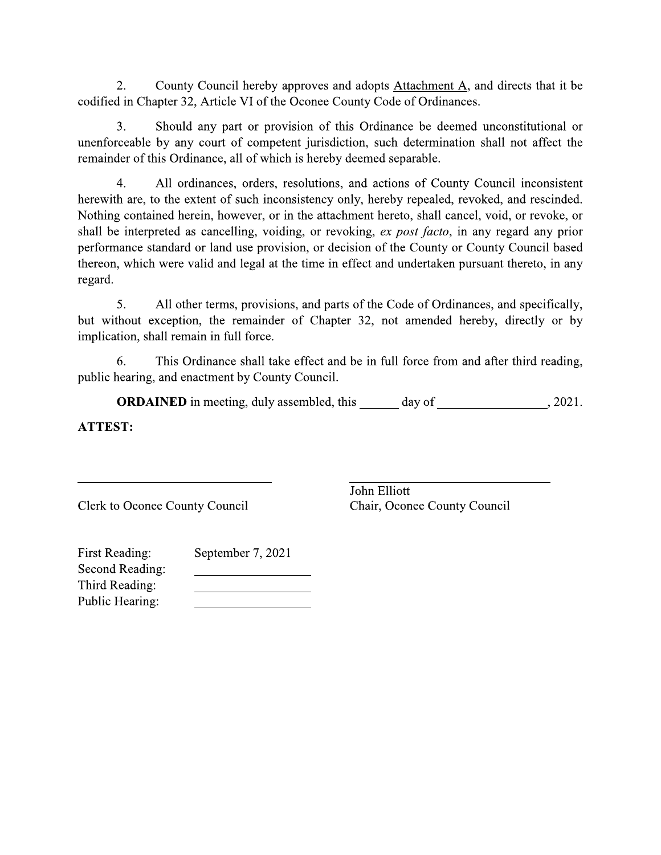$\overline{2}$ . County Council hereby approves and adopts Attachment A, and directs that it be codified in Chapter 32, Article VI of the Oconee County Code of Ordinances.

 $3<sub>1</sub>$ Should any part or provision of this Ordinance be deemed unconstitutional or unenforceable by any court of competent jurisdiction, such determination shall not affect the remainder of this Ordinance, all of which is hereby deemed separable.

 $\overline{4}$ . All ordinances, orders, resolutions, and actions of County Council inconsistent herewith are, to the extent of such inconsistency only, hereby repealed, revoked, and rescinded. Nothing contained herein, however, or in the attachment hereto, shall cancel, void, or revoke, or shall be interpreted as cancelling, voiding, or revoking, ex post facto, in any regard any prior performance standard or land use provision, or decision of the County or County Council based thereon, which were valid and legal at the time in effect and undertaken pursuant thereto, in any regard.

5. All other terms, provisions, and parts of the Code of Ordinances, and specifically, but without exception, the remainder of Chapter 32, not amended hereby, directly or by implication, shall remain in full force.

This Ordinance shall take effect and be in full force from and after third reading, 6. public hearing, and enactment by County Council.

**ORDAINED** in meeting, duly assembled, this \_\_\_\_\_\_ day of \_\_\_\_\_\_\_\_\_\_\_\_\_\_\_\_\_\_, 2021. **ATTEST:** 

**Clerk to Oconee County Council** 

John Elliott Chair, Oconee County Council

| <b>First Reading:</b> | September 7, 2021 |
|-----------------------|-------------------|
| Second Reading:       |                   |
| Third Reading:        |                   |
| Public Hearing:       |                   |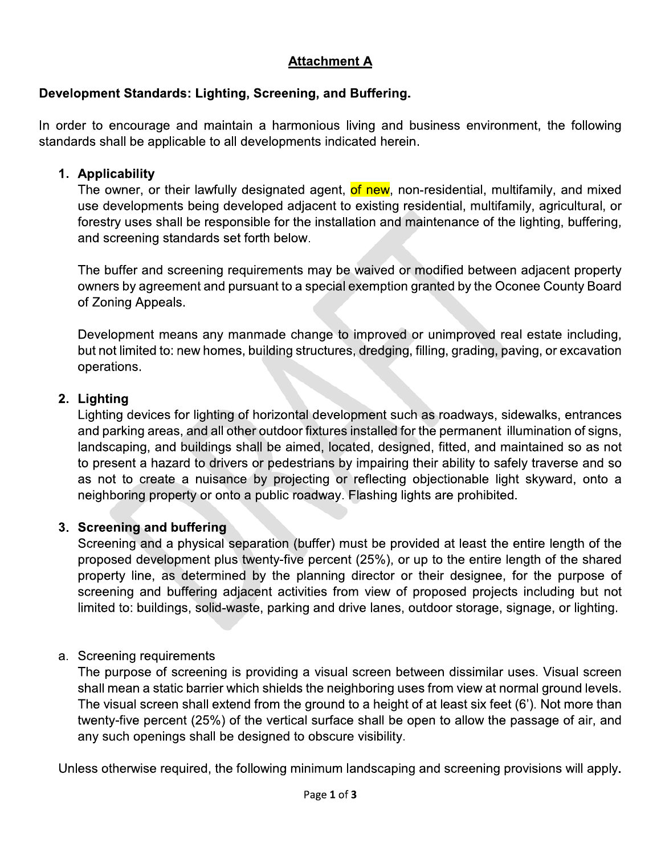## <u>Attacnment A</u>

## Development Standards: Lignting, Screening, and Buffering.

## 1. Applicability

Attachment A<br>
Development Standards: Lighting, Screening, and Buffering.<br>
In order to encourage and maintain a harmonious living and business environment, the following<br>
standards shall be applicable to all developments in Attachment A<br>
Development Standards: Lighting, Screening, and Buffering.<br>
In order to encourage and maintain a harmonious living and business environme<br>
standards shall be applicable to all developments indicated herein.<br> **Examples 10.1**<br> **Development Standards: Lighting, Screening, and Buffering.**<br>
In order to encourage and maintain a harmonious living and business environment, the following<br>
standards shall be applicable to all developmen pyment Standards: Lighting, Screening, and Buffering.<br>
Per to encourage and maintain a harmonious living and business environment, the following<br>
rds shall be applicable to all developments indicated herein.<br> **Applicabilit** 200000 Examples and maintain a harmonious living and business environment, the following<br>standards shall be applicable to all developments indicated herein.<br>1. **Applicability**<br>The owner, or their lawfully designated agent, In order to encourage and maintain a harmonious living a<br>standards shall be applicable to all developments indicated r<br>1. **Applicability**<br>The owner, or their lawfully designated agent, or new<br>use developments being develop 1. Applicability<br>
The ower, or their lawfully designated agent, of new, non-residential, multifamily, and mixed<br>
use developments being developed adjacent to existing residential, multifamily, agricultural, or<br>
forestry us 1. Applicability<br>
The owner, or their lawfully designated agent, of new, non-residential, multifamily, and mixed<br>
use exelopments being developed adjacent to existing residential, multifamily, agricultural, or<br>
forestry us

The buffer and screening requirements may be waived or modified between adjacent property of Zoning Appeals.

## 2. Lignting

Forestry uses shall be responsible for the installation and maintenance of the lighting, buffering,<br>and screening standards set forth below.<br>The buffer and screening requirements may be waived or modified between adjacent Fire buffer and screening standards set forth below.<br>The buffer and screening requirements may be waived or modified between adjacent property<br>owners by agreement and pursuant to a special exemption granted by the Oconee C The buffer and screening<br>
owners by agreement and<br>
of Zoning Appeals.<br>
Development means any<br>
but not limited to: new hom<br>
operations.<br>
2. Lighting<br>
Lighting devices for lighting<br>
and parking areas, and all dandscaping, an Lighting Appeals.<br>
Development means any manmade change to improved or unimproved real estate including,<br>
but not limited to: new homes, building structures, dredging, filling, grading, paving, or excavation<br>
operations.<br> - Development means any manmade change to improved or unimproved real estate including,<br>but not limited to: new homes, building structures, dredging, filling, grading, paving, or excavation<br>operations.<br>2. Lighting<br>Lighting landscaping, and buildings shall be aimed, located, designed, fitted, and maintained so as not<br>to present a hazard to drivers or pedestrians by impairing their ability to safely traverse and so but not limited to: new homes, building structures, dredging, filling, grading, paving, or excavation<br>operations.<br>2. Lighting<br>Lighting devices for lighting of horizontal development such as roadways, sidewalks, entrances<br>a -2. Lighting<br>
2. Lighting<br>
Lighting devices for lighting of horizontal development such as roadways, sidewalks, entrances<br>
and parking devices for lighting of horizontal development such as roadways, sidewalks, entrances<br> 9. Lighting<br>
Lighting devices for lighting of horizontal development such as roadways, sidewalks, entra<br>
and parking areas, and all other outdoor fixtures installed for the permanent illumination of<br>
landscaping, and build Expaints the permanent illumination of signs,<br>and parking areas, and all other outdoor fixtures installed for the permanent illumination of signs,<br>landscaping, and buildings shall be aimed, located, designed, fitted, and m

3. Screening and buffering<br>Screening and a physical separation (buffer) must be provided at least the entire length of the 9) and scaping, and buildings shall be aimed, located, designed, fitted, and maintained so as not to present a hazard to dirivers or pedestrians by impairing their ability to safely traverse and so as not to create a nuisa 9)<br>
16 o present a hazard to drivers or pedestrians by impairing their ability to safely traverse and so<br>
as not to create a nuisance by projecting or reflecting objectionable light skyward, onto a<br>
neighboring property or 2. Sometimal and buffering and buffering objectionable light skyward, onto a neighboring property or onto a public roadway. Flashing lights are prohibited.<br>
3. Screening and buffering<br>
Screening and a physical separation ( ineighboring property or onto a public roadway. Flashing lights are prohibited.<br>
Screening and buffering<br>
Screening and a physical separation (buffer) must be provided at least the entire length of the<br>
proposed developmen -: Correning and a physical separation (<br>Screening and a physical separation (<br>proposed development plus twenty-five<br>property line, as determined by the |<br>screening and buffering adjacent acti<br>limited to: buildings, solid-

beyond development plus twenty-five percent (25%), or up to the entire length of the shared<br>property line, as determined by the planning director or their designee, for the purpose of<br>screening and buffering adjacent activ property line, as determined by the planning director or their designee, for the purpose of<br>screening and buffering adjacent activities from view of proposed projects including but not<br>limited to: buildings, solid-waste, screening and buffering adjacent activities from view of proposed projects including but not<br>limited to: buildings, solid-waste, parking and drive lanes, outdoor storage, signage, or lighting.<br>a. Screening requirements<br>The Altimum in the set of streeting and drive lanes, outdoor storage, signage, or lighting.<br>
A. Screening requirements<br>
The purpose of screening is providing a visual screen between dissimilar uses. Visual screen<br>
shall mean a Screening requirements<br>The purpose of screening is providing a visual screen between diss<br>shall mean a static barrier which shields the neighboring uses from vie<br>The visual screen shall extend from the ground to a height o a. Screening requirements<br>
The purpose of screening is providing a visual screen between dissimilar uses. Visual screen<br>
shall mean a static barrier which shields the neighboring uses from view at normal ground levels.<br>
Th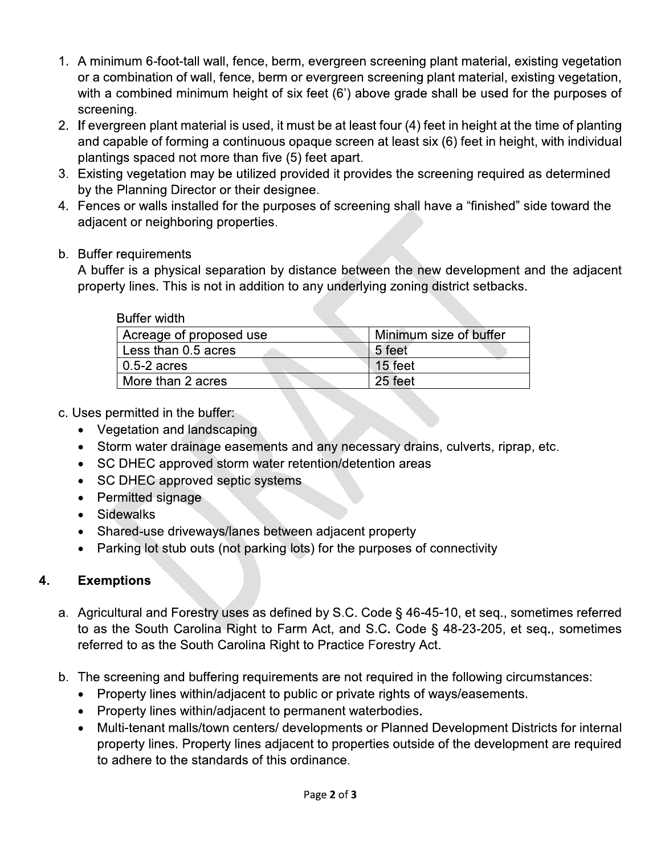- 1. A minimum 6-foot-tall wall, fence, berm, evergreen screening plant material, existing vegetation or a combination of wall, fence, berm or evergreen screening plant material, existing vegetation, with a combined minimum height of six feet (6') above grade shall be used for the purposes of screening.
- 2. If evergreen plant material is used, it must be at least four (4) feet in height at the time of planting and capable of forming a continuous opague screen at least six (6) feet in height, with individual plantings spaced not more than five (5) feet apart.
- 3. Existing vegetation may be utilized provided it provides the screening required as determined by the Planning Director or their designee.
- 4. Fences or walls installed for the purposes of screening shall have a "finished" side toward the adjacent or neighboring properties.
- b. Buffer requirements

A buffer is a physical separation by distance between the new development and the adjacent property lines. This is not in addition to any underlying zoning district setbacks.

| Buffer width            |                        |
|-------------------------|------------------------|
| Acreage of proposed use | Minimum size of buffer |
| Less than 0.5 acres     | 5 feet                 |
| $0.5-2$ acres           | 15 feet                |
| More than 2 acres       | 25 feet                |
|                         |                        |

- c. Uses permitted in the buffer:
	- Vegetation and landscaping
	- Storm water drainage easements and any necessary drains, culverts, riprap, etc.
	- SC DHEC approved storm water retention/detention areas
	- SC DHEC approved septic systems
	- Permitted signage
	- Sidewalks
	- Shared-use driveways/lanes between adjacent property  $\bullet$
	- Parking lot stub outs (not parking lots) for the purposes of connectivity

### 4. **Exemptions**

- a. Agricultural and Forestry uses as defined by S.C. Code § 46-45-10, et seq., sometimes referred to as the South Carolina Right to Farm Act, and S.C. Code § 48-23-205, et seq., sometimes referred to as the South Carolina Right to Practice Forestry Act.
- b. The screening and buffering requirements are not required in the following circumstances:
	- Property lines within/adjacent to public or private rights of ways/easements.
	- Property lines within/adjacent to permanent waterbodies.
	- Multi-tenant malls/town centers/ developments or Planned Development Districts for internal property lines. Property lines adjacent to properties outside of the development are required to adhere to the standards of this ordinance.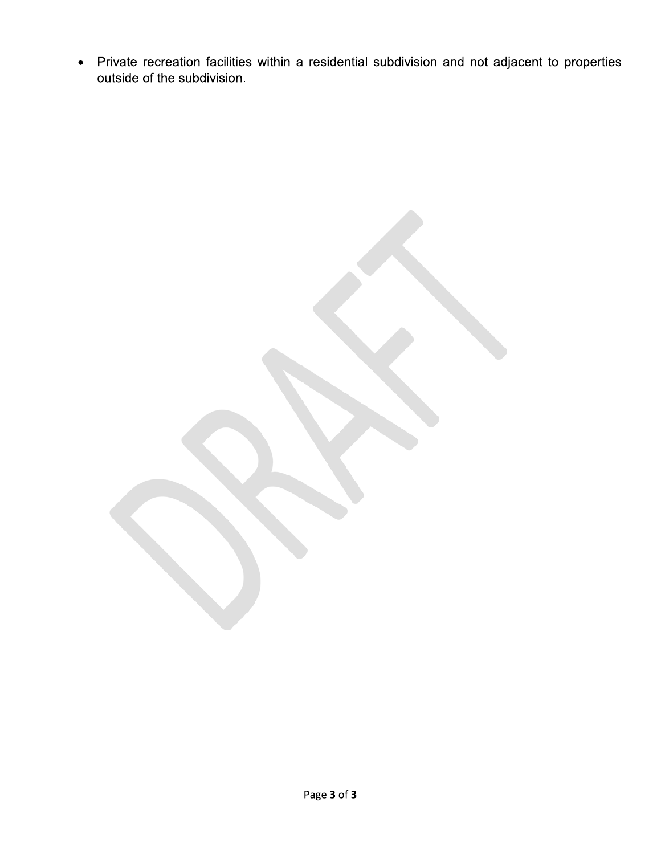• Private recreation facilities within a residential subdivision and not adjacent to properties outside of the subdivision.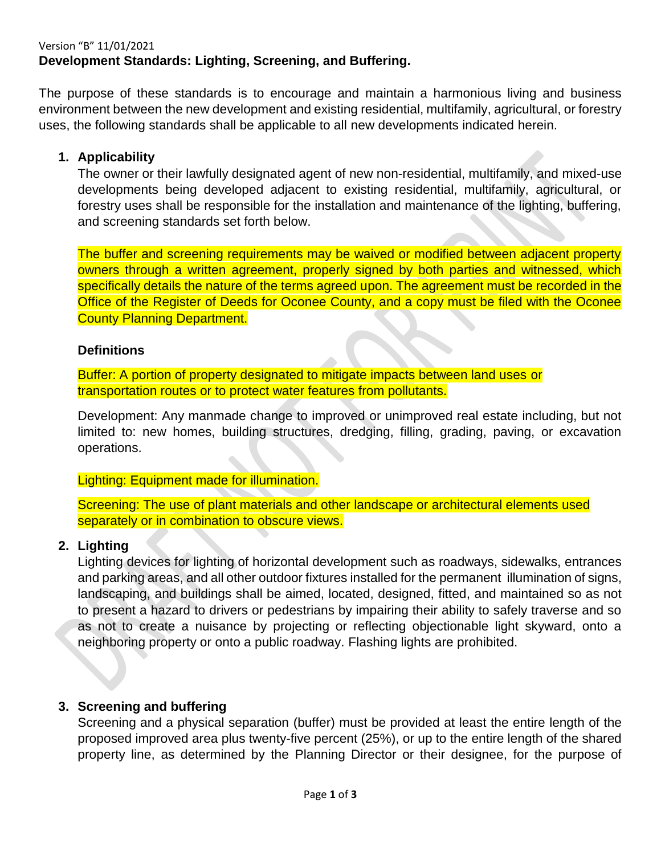### Version "B" 11/01/2021 **Development Standards: Lighting, Screening, and Buffering.**

The purpose of these standards is to encourage and maintain a harmonious living and business environment between the new development and existing residential, multifamily, agricultural, or forestry uses, the following standards shall be applicable to all new developments indicated herein.

### **1. Applicability**

The owner or their lawfully designated agent of new non-residential, multifamily, and mixed-use developments being developed adjacent to existing residential, multifamily, agricultural, or forestry uses shall be responsible for the installation and maintenance of the lighting, buffering, and screening standards set forth below.

The buffer and screening requirements may be waived or modified between adjacent property owners through a written agreement, properly signed by both parties and witnessed, which specifically details the nature of the terms agreed upon. The agreement must be recorded in the Office of the Register of Deeds for Oconee County, and a copy must be filed with the Oconee County Planning Department.

### **Definitions**

Buffer: A portion of property designated to mitigate impacts between land uses or transportation routes or to protect water features from pollutants.

Development: Any manmade change to improved or unimproved real estate including, but not limited to: new homes, building structures, dredging, filling, grading, paving, or excavation operations.

### Lighting: Equipment made for illumination.

Screening: The use of plant materials and other landscape or architectural elements used separately or in combination to obscure views.

### **2. Lighting**

Lighting devices for lighting of horizontal development such as roadways, sidewalks, entrances and parking areas, and all other outdoor fixtures installed for the permanent illumination of signs, landscaping, and buildings shall be aimed, located, designed, fitted, and maintained so as not to present a hazard to drivers or pedestrians by impairing their ability to safely traverse and so as not to create a nuisance by projecting or reflecting objectionable light skyward, onto a neighboring property or onto a public roadway. Flashing lights are prohibited.

### **3. Screening and buffering**

Screening and a physical separation (buffer) must be provided at least the entire length of the proposed improved area plus twenty-five percent (25%), or up to the entire length of the shared property line, as determined by the Planning Director or their designee, for the purpose of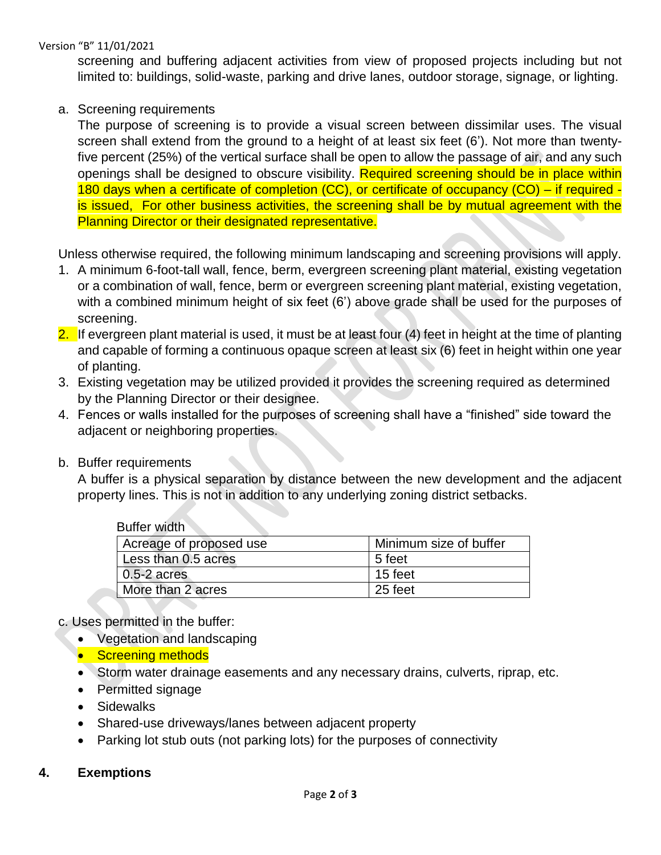screening and buffering adjacent activities from view of proposed projects including but not limited to: buildings, solid-waste, parking and drive lanes, outdoor storage, signage, or lighting.

### a. Screening requirements

The purpose of screening is to provide a visual screen between dissimilar uses. The visual screen shall extend from the ground to a height of at least six feet (6'). Not more than twentyfive percent (25%) of the vertical surface shall be open to allow the passage of air, and any such openings shall be designed to obscure visibility. Required screening should be in place within 180 days when a certificate of completion (CC), or certificate of occupancy (CO) – if required is issued, For other business activities, the screening shall be by mutual agreement with the Planning Director or their designated representative.

Unless otherwise required, the following minimum landscaping and screening provisions will apply.

- 1. A minimum 6-foot-tall wall, fence, berm, evergreen screening plant material, existing vegetation or a combination of wall, fence, berm or evergreen screening plant material, existing vegetation, with a combined minimum height of six feet (6') above grade shall be used for the purposes of screening.
- 2. If evergreen plant material is used, it must be at least four (4) feet in height at the time of planting and capable of forming a continuous opaque screen at least six (6) feet in height within one year of planting.
- 3. Existing vegetation may be utilized provided it provides the screening required as determined by the Planning Director or their designee.
- 4. Fences or walls installed for the purposes of screening shall have a "finished" side toward the adjacent or neighboring properties.
- b. Buffer requirements

A buffer is a physical separation by distance between the new development and the adjacent property lines. This is not in addition to any underlying zoning district setbacks.

| Buffer width            |                        |
|-------------------------|------------------------|
| Acreage of proposed use | Minimum size of buffer |
| Less than 0.5 acres     | 5 feet                 |
| $0.5 - 2$ acres         | 15 feet                |
| More than 2 acres       | 25 feet                |

### c. Uses permitted in the buffer:

- Vegetation and landscaping
- Screening methods
- Storm water drainage easements and any necessary drains, culverts, riprap, etc.
- Permitted signage
- Sidewalks
- Shared-use driveways/lanes between adjacent property
- Parking lot stub outs (not parking lots) for the purposes of connectivity

### **4. Exemptions**